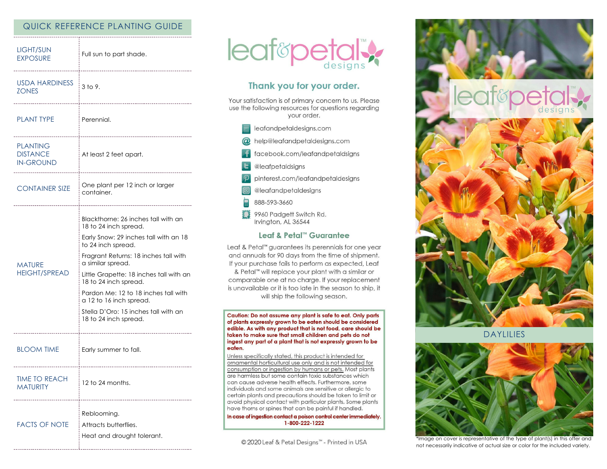# QUICK REFERENCE PLANTING GUIDE

| <b>LIGHT/SUN</b><br><b>EXPOSURE</b>                    | Full sun to part shade.                                                                                                                                                                                                                                                                                                                                                                           |
|--------------------------------------------------------|---------------------------------------------------------------------------------------------------------------------------------------------------------------------------------------------------------------------------------------------------------------------------------------------------------------------------------------------------------------------------------------------------|
| <b>USDA HARDINESS</b><br><b>ZONES</b>                  | 3 to 9.                                                                                                                                                                                                                                                                                                                                                                                           |
| <b>PLANT TYPE</b>                                      | Perennial.                                                                                                                                                                                                                                                                                                                                                                                        |
| <b>PLANTING</b><br><b>DISTANCE</b><br><b>IN-GROUND</b> | At least 2 feet apart.                                                                                                                                                                                                                                                                                                                                                                            |
| <b>CONTAINER SIZE</b>                                  | One plant per 12 inch or larger<br>container.                                                                                                                                                                                                                                                                                                                                                     |
| MATURE<br><b>HEIGHT/SPREAD</b>                         | Blackthorne: 26 inches tall with an<br>18 to 24 inch spread.<br>Early Snow: 29 inches tall with an 18<br>to 24 inch spread.<br>Fragrant Returns: 18 inches tall with<br>a similar spread.<br>Little Grapette: 18 inches tall with an<br>18 to 24 inch spread.<br>Pardon Me: 12 to 18 inches tall with<br>a 12 to 16 inch spread.<br>Stella D'Oro: 15 inches tall with an<br>18 to 24 inch spread. |
| <b>BLOOM TIME</b>                                      | Early summer to fall.                                                                                                                                                                                                                                                                                                                                                                             |
| TIME TO REACH<br><b>MATURITY</b>                       | 12 to 24 months.                                                                                                                                                                                                                                                                                                                                                                                  |
| <b>FACTS OF NOTE</b>                                   | Reblooming.<br>Attracts butterflies.<br>Heat and drought tolerant.                                                                                                                                                                                                                                                                                                                                |



# Thank you for your order.

Your satisfaction is of primary concern to us. Please use the following resources for questions regarding your order.

| leafandpetaldesigns.com               |
|---------------------------------------|
| $\omega$ help@leafandpetaldesigns.com |

- facebook.com/leafandpetaldsigns
- **L** @leafpetaldsigns
- pinterest.com/leafandpetaldesigns
- @leafandpetaldesigns
- 888-593-3660
- 9960 Padgett Switch Rd. Irvington, AL 36544

### Leaf & Petal™ Guarantee

Leaf & Petal™ guarantees its perennials for one year and annuals for 90 days from the time of shipment. If your purchase fails to perform as expected, Leaf & Petal<sup>™</sup> will replace your plant with a similar or comparable one at no charge. If your replacement is unavailable or it is too late in the season to ship, it will ship the following season.

Caution: Do not assume any plant is safe to eat. Only parts of plants expressly grown to be eaten should be considered edible. As with any product that is not food, care should be taken to make sure that small children and pets do not ingest any part of a plant that is not expressly grown to be eaten.

Unless specifically stated, this product is intended for ornamental horticultural use only and is not intended for consumption or ingestion by humans or pets. Most plants are harmless but some contain toxic substances which can cause adverse health effects. Furthermore, some individuals and some animals are sensitive or allergic to certain plants and precautions should be taken to limit or avoid physical contact with particular plants. Some plants have thorns or spines that can be painful if handled.

In case of ingestion contact a poison control center immediately. 1-800-222-1222

© 2020 Leaf & Petal Designs™ - Printed in USA



**DAYLILIES** 



\*Image on cover is representative of the type of plant(s) in this offer and not necessarily indicative of actual size or color for the included variety.